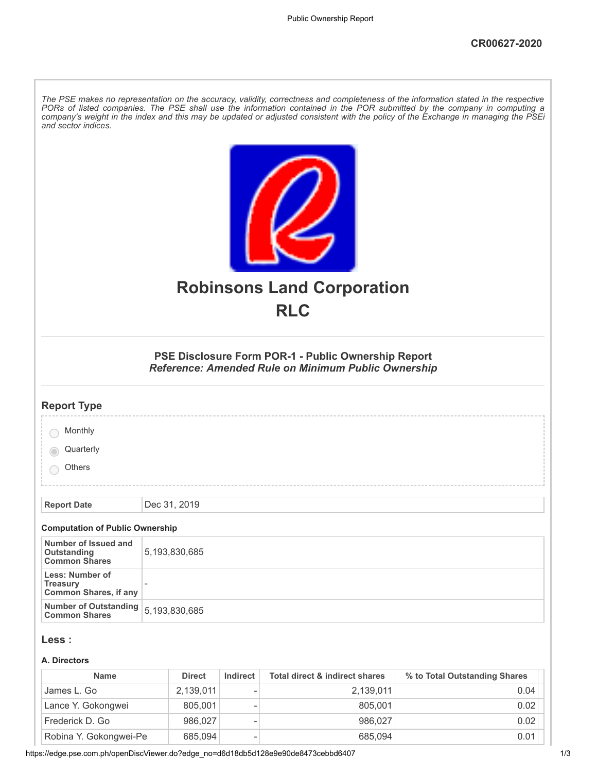| The PSE makes no representation on the accuracy, validity, correctness and completeness of the information stated in the respective<br>PORs of listed companies. The PSE shall use the information contained in the POR submitted by the company in computing a<br>company's weight in the index and this may be updated or adjusted consistent with the policy of the Exchange in managing the PSEi<br>and sector indices. |                                                                                                            |  |  |  |  |
|-----------------------------------------------------------------------------------------------------------------------------------------------------------------------------------------------------------------------------------------------------------------------------------------------------------------------------------------------------------------------------------------------------------------------------|------------------------------------------------------------------------------------------------------------|--|--|--|--|
|                                                                                                                                                                                                                                                                                                                                                                                                                             | <b>Robinsons Land Corporation</b><br><b>RLC</b>                                                            |  |  |  |  |
|                                                                                                                                                                                                                                                                                                                                                                                                                             | PSE Disclosure Form POR-1 - Public Ownership Report<br>Reference: Amended Rule on Minimum Public Ownership |  |  |  |  |
| <b>Report Type</b>                                                                                                                                                                                                                                                                                                                                                                                                          |                                                                                                            |  |  |  |  |
| Monthly                                                                                                                                                                                                                                                                                                                                                                                                                     |                                                                                                            |  |  |  |  |
| Quarterly                                                                                                                                                                                                                                                                                                                                                                                                                   |                                                                                                            |  |  |  |  |
| Others                                                                                                                                                                                                                                                                                                                                                                                                                      |                                                                                                            |  |  |  |  |
|                                                                                                                                                                                                                                                                                                                                                                                                                             |                                                                                                            |  |  |  |  |
| <b>Report Date</b>                                                                                                                                                                                                                                                                                                                                                                                                          | Dec 31, 2019                                                                                               |  |  |  |  |
| <b>Computation of Public Ownership</b>                                                                                                                                                                                                                                                                                                                                                                                      |                                                                                                            |  |  |  |  |
| Number of Issued and<br><b>Outstanding</b><br><b>Common Shares</b>                                                                                                                                                                                                                                                                                                                                                          | 5,193,830,685                                                                                              |  |  |  |  |
| Less: Number of<br><b>Treasury</b><br><b>Common Shares, if any</b>                                                                                                                                                                                                                                                                                                                                                          |                                                                                                            |  |  |  |  |
| <b>Number of Outstanding</b><br><b>Common Shares</b>                                                                                                                                                                                                                                                                                                                                                                        | 5,193,830,685                                                                                              |  |  |  |  |
| Less :                                                                                                                                                                                                                                                                                                                                                                                                                      |                                                                                                            |  |  |  |  |
| A. Directors                                                                                                                                                                                                                                                                                                                                                                                                                |                                                                                                            |  |  |  |  |
|                                                                                                                                                                                                                                                                                                                                                                                                                             |                                                                                                            |  |  |  |  |

| <b>Name</b>            | <b>Direct</b> | Indirect | Total direct & indirect shares | % to Total Outstanding Shares |
|------------------------|---------------|----------|--------------------------------|-------------------------------|
| James L. Go            | 2.139.011     | ۰        | 2.139.011                      | 0.04                          |
| Lance Y. Gokongwei     | 805.001       | ۰        | 805.001                        | 0.02                          |
| Frederick D. Go        | 986.027       | ۰        | 986.027                        | 0.02                          |
| Robina Y. Gokongwei-Pe | 685,094       |          | 685.094                        | 0.01                          |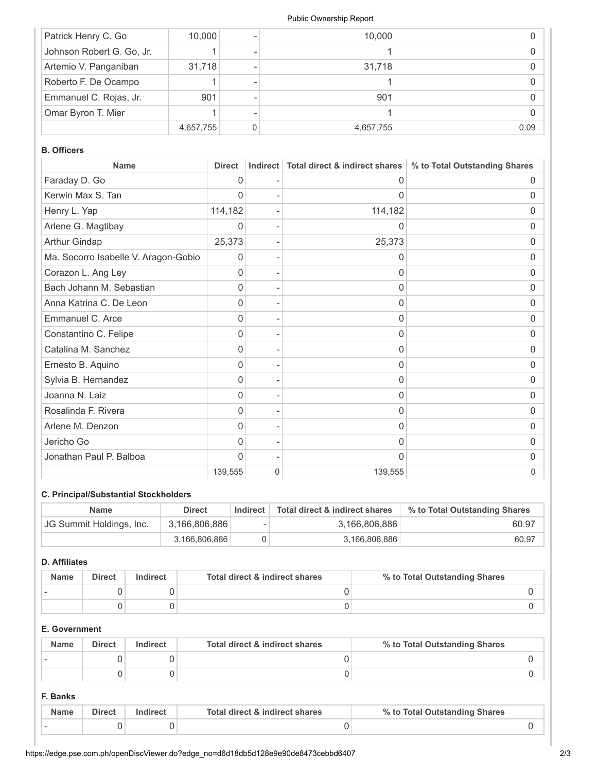#### Public Ownership Report

| Patrick Henry C. Go       | 10,000    | 10,000    |      |
|---------------------------|-----------|-----------|------|
| Johnson Robert G. Go, Jr. |           |           |      |
| Artemio V. Panganiban     | 31,718    | 31,718    |      |
| Roberto F. De Ocampo      |           |           |      |
| Emmanuel C. Rojas, Jr.    | 901       | 901       |      |
| Omar Byron T. Mier        |           |           |      |
|                           | 4,657,755 | 4,657,755 | 0.09 |

# **B. Officers**

| <b>Name</b>                          | <b>Direct</b> | Indirect | Total direct & indirect shares | % to Total Outstanding Shares |
|--------------------------------------|---------------|----------|--------------------------------|-------------------------------|
| Faraday D. Go                        | 0             |          | O                              | O                             |
| Kerwin Max S. Tan                    | 0             |          | 0                              | 0                             |
| Henry L. Yap                         | 114,182       |          | 114,182                        | 0                             |
| Arlene G. Magtibay                   | 0             |          | $\mathbf{0}$                   | 0                             |
| Arthur Gindap                        | 25,373        |          | 25,373                         | O                             |
| Ma. Socorro Isabelle V. Aragon-Gobio | 0             |          | 0                              | 0                             |
| Corazon L. Ang Ley                   | $\Omega$      |          | $\Omega$                       | 0                             |
| Bach Johann M. Sebastian             | 0             |          | 0                              | 0                             |
| Anna Katrina C. De Leon              | 0             |          | 0                              | 0                             |
| Emmanuel C. Arce                     | 0             |          | 0                              | O                             |
| Constantino C. Felipe                | 0             |          | 0                              | 0                             |
| Catalina M. Sanchez                  | 0             |          | $\Omega$                       | 0                             |
| Ernesto B. Aquino                    | 0             |          | $\mathbf{0}$                   | 0                             |
| Sylvia B. Hernandez                  | 0             |          | 0                              | 0                             |
| Joanna N. Laiz                       | 0             |          | 0                              | O                             |
| Rosalinda F. Rivera                  | 0             |          | 0                              | 0                             |
| Arlene M. Denzon                     | 0             |          | 0                              | 0                             |
| Jericho Go                           | 0             |          | 0                              | 0                             |
| Jonathan Paul P. Balboa              | O             |          | O                              | O                             |
|                                      | 139,555       | 0        | 139,555                        | 0                             |

# **C. Principal/Substantial Stockholders**

| <b>Name</b>              | <b>Direct</b> | Indirect | Total direct & indirect shares | % to Total Outstanding Shares |
|--------------------------|---------------|----------|--------------------------------|-------------------------------|
| JG Summit Holdings, Inc. | 3,166,806,886 |          | 3,166,806,886                  | 60.97                         |
|                          | 3.166.806.886 |          | 3,166,806,886                  | 60.97                         |

# **D. Affiliates**

| <b>Name</b> | <b>Direct</b> | Indirect | Total direct & indirect shares | % to Total Outstanding Shares |
|-------------|---------------|----------|--------------------------------|-------------------------------|
|             |               |          |                                |                               |
|             |               |          |                                |                               |

# **E. Government**

| <b>Name</b> | Direct | Indirect | Total direct & indirect shares | % to Total Outstanding Shares |
|-------------|--------|----------|--------------------------------|-------------------------------|
|             |        |          |                                |                               |
|             |        |          |                                |                               |

### **F. Banks**

| <b>Name</b> | <b>Direct</b> | Total direct & indirect shares | % to Total Outstanding Shares |  |
|-------------|---------------|--------------------------------|-------------------------------|--|
|             |               |                                |                               |  |